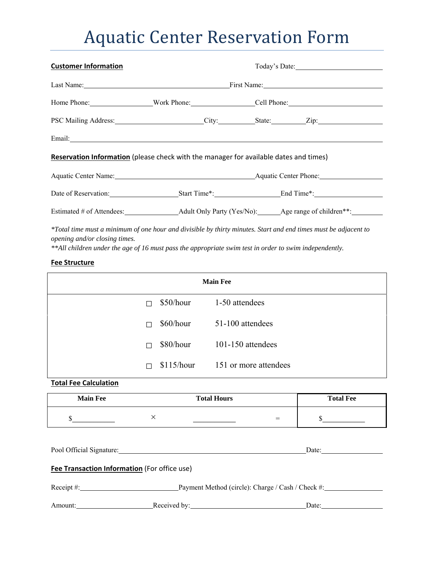## **Aquatic Center Reservation Form**

| <b>Customer Information</b>                                                           |  |  | Today's Date: |
|---------------------------------------------------------------------------------------|--|--|---------------|
|                                                                                       |  |  |               |
|                                                                                       |  |  |               |
| PSC Mailing Address: City: City: State: Zip: Zip:                                     |  |  |               |
|                                                                                       |  |  |               |
| Reservation Information (please check with the manager for available dates and times) |  |  |               |
| Aquatic Center Name: Aquatic Center Name: Aquatic Center Phone:                       |  |  |               |
| Date of Reservation: Start Time*: End Time*: End Time*:                               |  |  |               |
|                                                                                       |  |  |               |

*\*Total time must a minimum of one hour and divisible by thirty minutes. Start and end times must be adjacent to opening and/or closing times.* 

*\*\*All children under the age of 16 must pass the appropriate swim test in order to swim independently.* 

## **Fee Structure**

| <b>Main Fee</b> |            |                       |  |
|-----------------|------------|-----------------------|--|
| П               | \$50/hour  | 1-50 attendees        |  |
| П               | \$60/hour  | 51-100 attendees      |  |
| П               | \$80/hour  | $101-150$ attendees   |  |
| П               | \$115/hour | 151 or more attendees |  |

**Total Fee Calculation**

| <b>Main Fee</b> | <b>Total Hours</b> |     | <b>Total Fee</b> |
|-----------------|--------------------|-----|------------------|
|                 |                    | $=$ |                  |

| Pool Official Signature:                     | Date:                                             |
|----------------------------------------------|---------------------------------------------------|
| Fee Transaction Information (For office use) |                                                   |
| Receipt #:                                   | Payment Method (circle): Charge / Cash / Check #: |

Amount: Received by: Received by: Date: